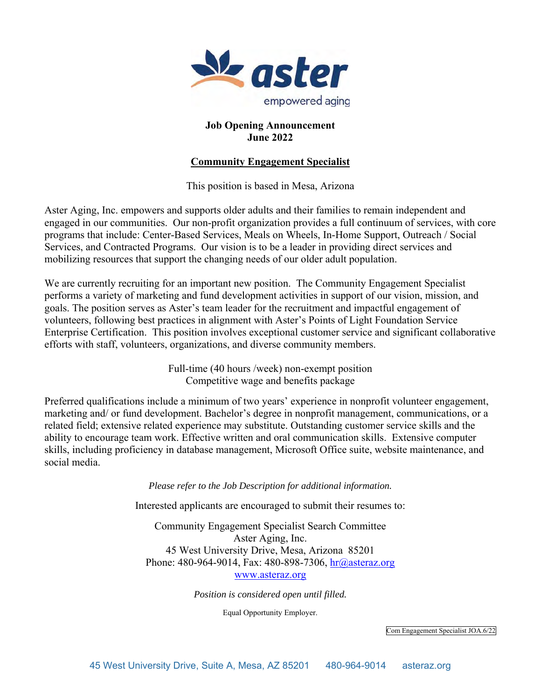

## **Job Opening Announcement June 2022**

# **Community Engagement Specialist**

This position is based in Mesa, Arizona

Aster Aging, Inc. empowers and supports older adults and their families to remain independent and engaged in our communities. Our non-profit organization provides a full continuum of services, with core programs that include: Center-Based Services, Meals on Wheels, In-Home Support, Outreach / Social Services, and Contracted Programs. Our vision is to be a leader in providing direct services and mobilizing resources that support the changing needs of our older adult population.

We are currently recruiting for an important new position. The Community Engagement Specialist performs a variety of marketing and fund development activities in support of our vision, mission, and goals. The position serves as Aster's team leader for the recruitment and impactful engagement of volunteers, following best practices in alignment with Aster's Points of Light Foundation Service Enterprise Certification. This position involves exceptional customer service and significant collaborative efforts with staff, volunteers, organizations, and diverse community members.

> Full-time (40 hours /week) non-exempt position Competitive wage and benefits package

Preferred qualifications include a minimum of two years' experience in nonprofit volunteer engagement, marketing and/ or fund development. Bachelor's degree in nonprofit management, communications, or a related field; extensive related experience may substitute. Outstanding customer service skills and the ability to encourage team work. Effective written and oral communication skills. Extensive computer skills, including proficiency in database management, Microsoft Office suite, website maintenance, and social media.

*Please refer to the Job Description for additional information.* 

Interested applicants are encouraged to submit their resumes to:

Community Engagement Specialist Search Committee Aster Aging, Inc. 45 West University Drive, Mesa, Arizona 85201 Phone: 480-964-9014, Fax: 480-898-7306, hr@asteraz.org www.asteraz.org

*Position is considered open until filled.* 

Equal Opportunity Employer.

Com Engagement Specialist JOA.6/22